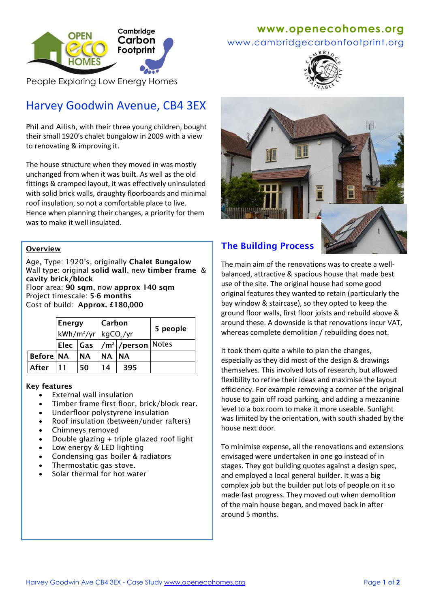

www.cambridgecarbonfootprint.org



People Exploring Low Energy Homes

# Harvey Goodwin Avenue, CB4 3EX

Phil and Ailish, with their three young children, bought their small 1920's chalet bungalow in 2009 with a view to renovating & improving it.

The house structure when they moved in was mostly unchanged from when it was built. As well as the old fittings & cramped layout, it was effectively uninsulated with solid brick walls, draughty floorboards and minimal roof insulation, so not a comfortable place to live. Hence when planning their changes, a priority for them was to make it well insulated.

### **Overview**

Age, Type: 1920's, originally **Chalet Bungalow** Wall type: original **solid wall**, new **timber frame** & **cavity brick/block**  Floor area: **90 sqm**, now **approx 140 sqm**

Project timescale: **5-6 months**  Cost of build: **Approx. £180,000**

|                  | Energy<br>kWh/m <sup>2</sup> /yr   kgCO <sub>2</sub> /yr |           | Carbon    |                              | 5 people |
|------------------|----------------------------------------------------------|-----------|-----------|------------------------------|----------|
|                  |                                                          |           |           | Elec  Gas  /m² /person Notes |          |
| <b>Before NA</b> |                                                          | <b>NA</b> | <b>NA</b> | <b>INA</b>                   |          |
| After            | -11                                                      | 50        | 14        | 395                          |          |

#### **Key features**

- External wall insulation
- Timber frame first floor, brick/block rear.
- Underfloor polystyrene insulation
- Roof insulation (between/under rafters)
- Chimneys removed
- Double glazing + triple glazed roof light
- Low energy & LED lighting
- Condensing gas boiler & radiators
- Thermostatic gas stove.
- Solar thermal for hot water





The main aim of the renovations was to create a wellbalanced, attractive & spacious house that made best use of the site. The original house had some good original features they wanted to retain (particularly the bay window & staircase), so they opted to keep the ground floor walls, first floor joists and rebuild above & around these. A downside is that renovations incur VAT, whereas complete demolition / rebuilding does not.

It took them quite a while to plan the changes, especially as they did most of the design & drawings themselves. This involved lots of research, but allowed flexibility to refine their ideas and maximise the layout efficiency. For example removing a corner of the original house to gain off road parking, and adding a mezzanine level to a box room to make it more useable. Sunlight was limited by the orientation, with south shaded by the house next door.

To minimise expense, all the renovations and extensions envisaged were undertaken in one go instead of in stages. They got building quotes against a design spec, and employed a local general builder. It was a big complex job but the builder put lots of people on it so made fast progress. They moved out when demolition of the main house began, and moved back in after around 5 months.